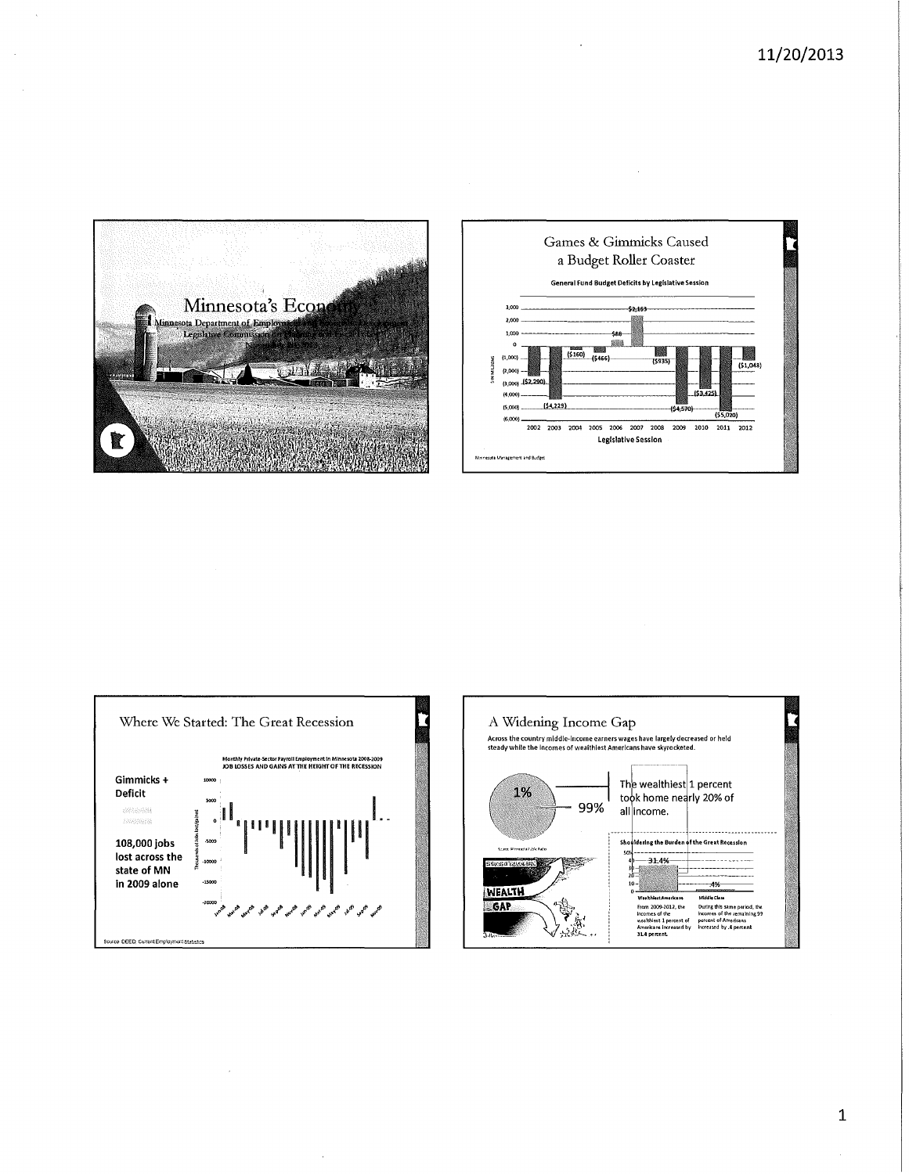







 $\mathbf{1}$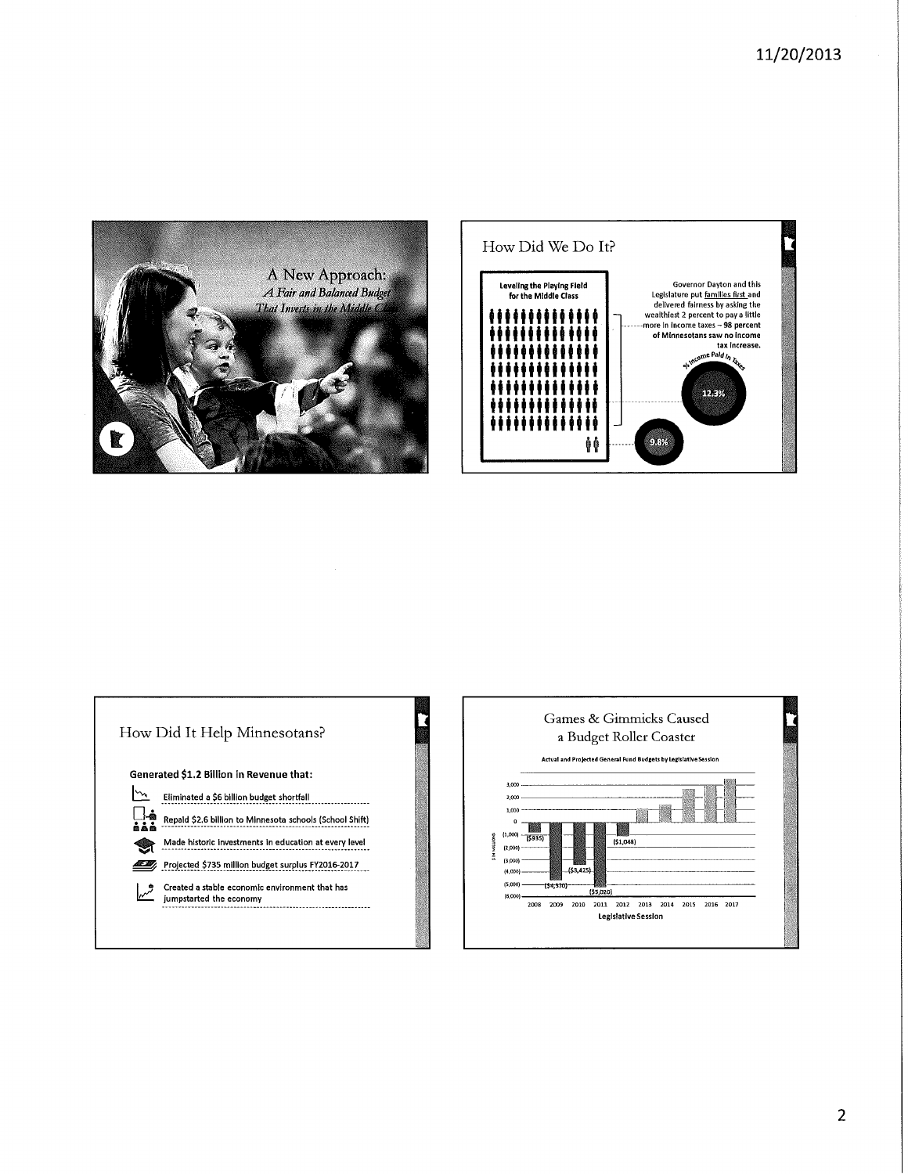





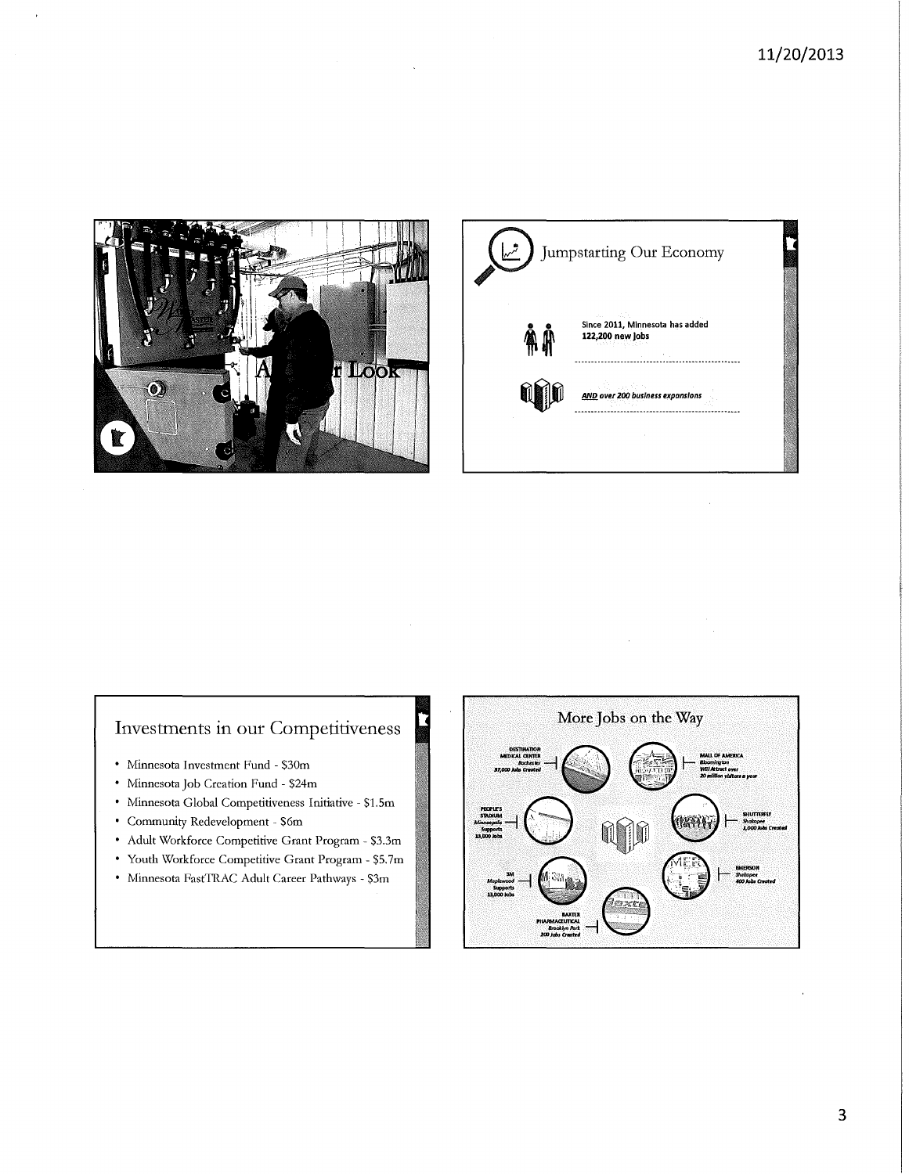



## Investments in our Competitiveness

- Minnesota Investment Fund \$30m
- Minnesota Job Creation Fund \$24m
- Minnesota Global Competitiveness Initiative \$1.5m
- Community Redevelopment S6m
- Adult Workforce Competitive Grant Program \$3.3m
- Youth Workforce Competitive Grant Program- \$5.7m
- Minnesota FastTRAC Adult Career Pathways \$3m



 $\mathcal{L}$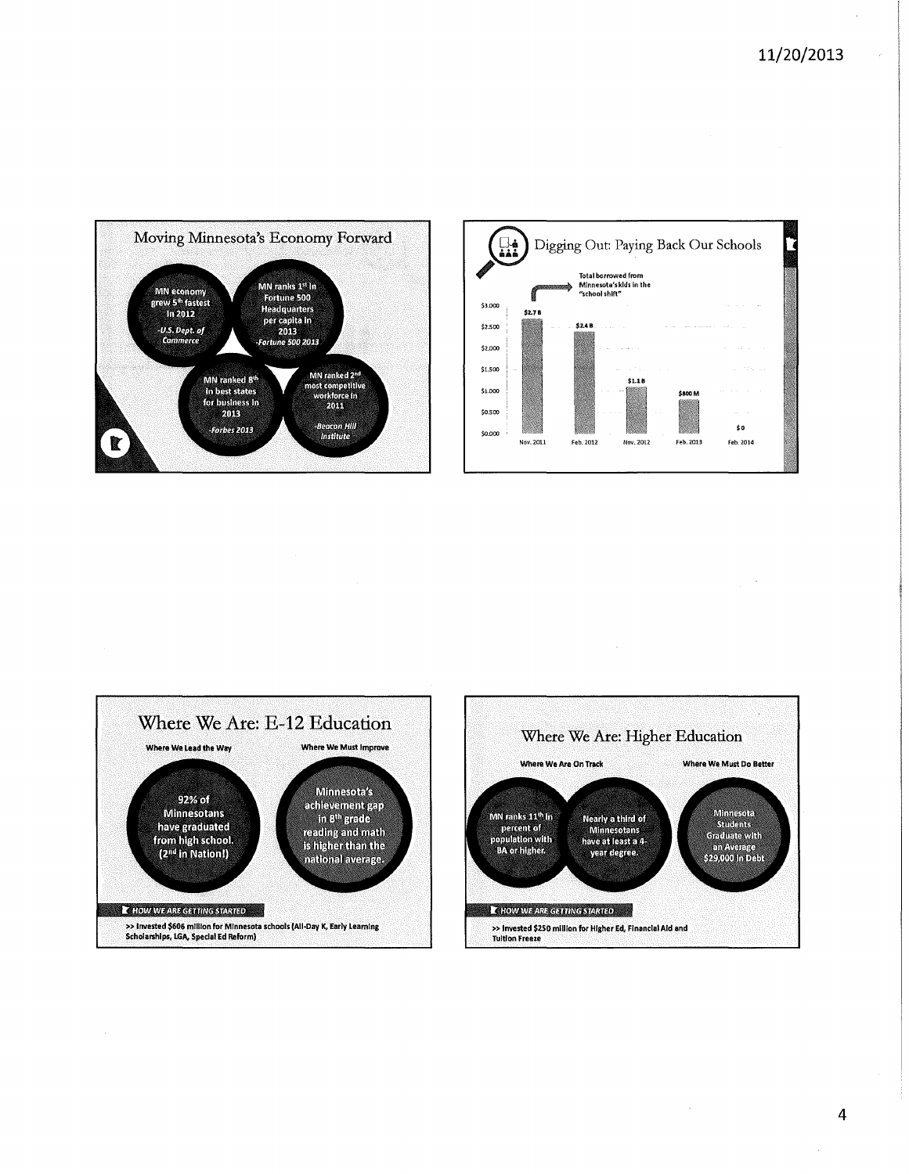à.









 $\bar{z}$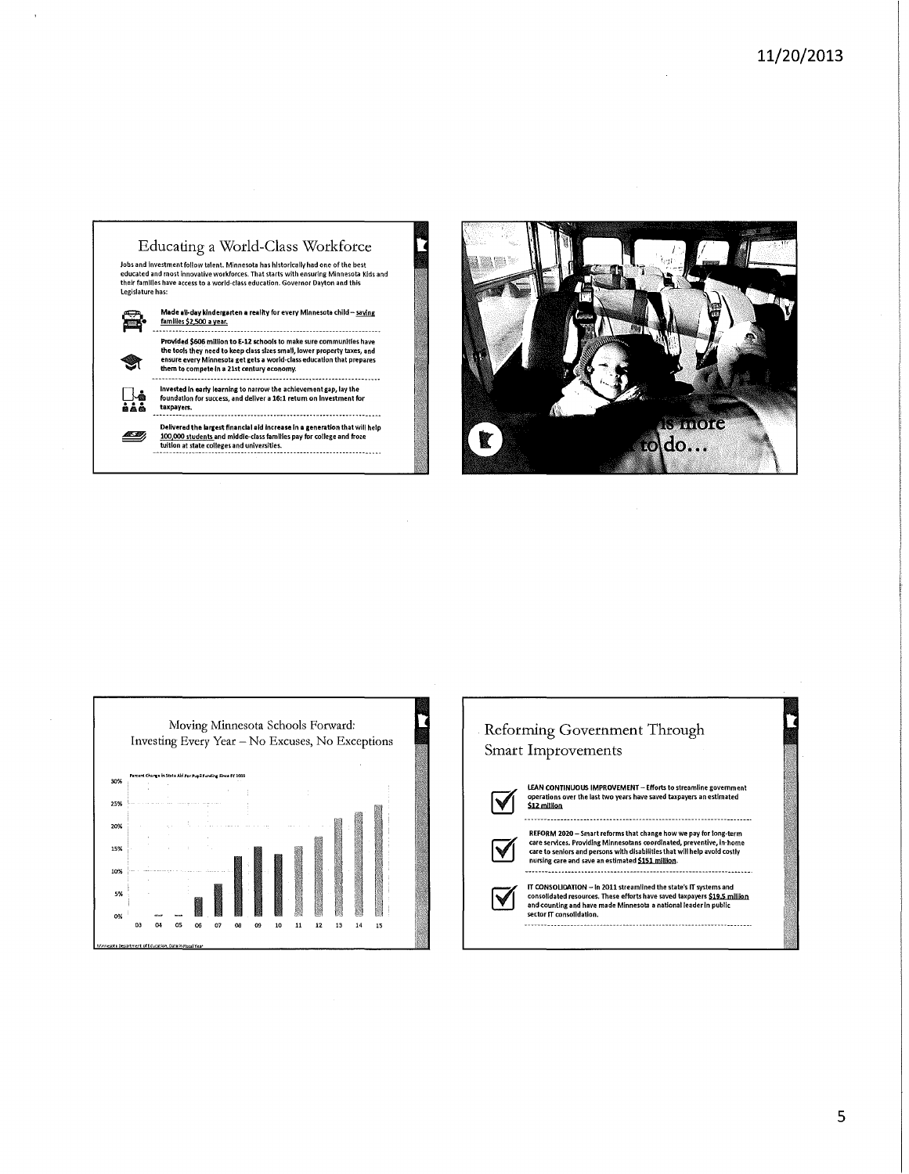







✔

LEAN CONTINUOUS IMPROVEMENT- Efforts to streamline government operations over the last two years have saved taxpayers an estimated<br>\$12 million



V

---------------

REFORM 2020 — Smart reforms that change how we pay for long-term<br>care services. Providing Minnesotans coordinated, preventive, in-home<br>care to seniors and persons with disabilities that will help avoid costly<br>nursing care

IT CONSOLIDATION — In 2011 streamlined the state's IT systems and<br>consolidated resources. These efforts have saved taxpayers \$19.5 <u>million</u><br>and counting and have made Minnesota a national leader in public<br>sector IT consol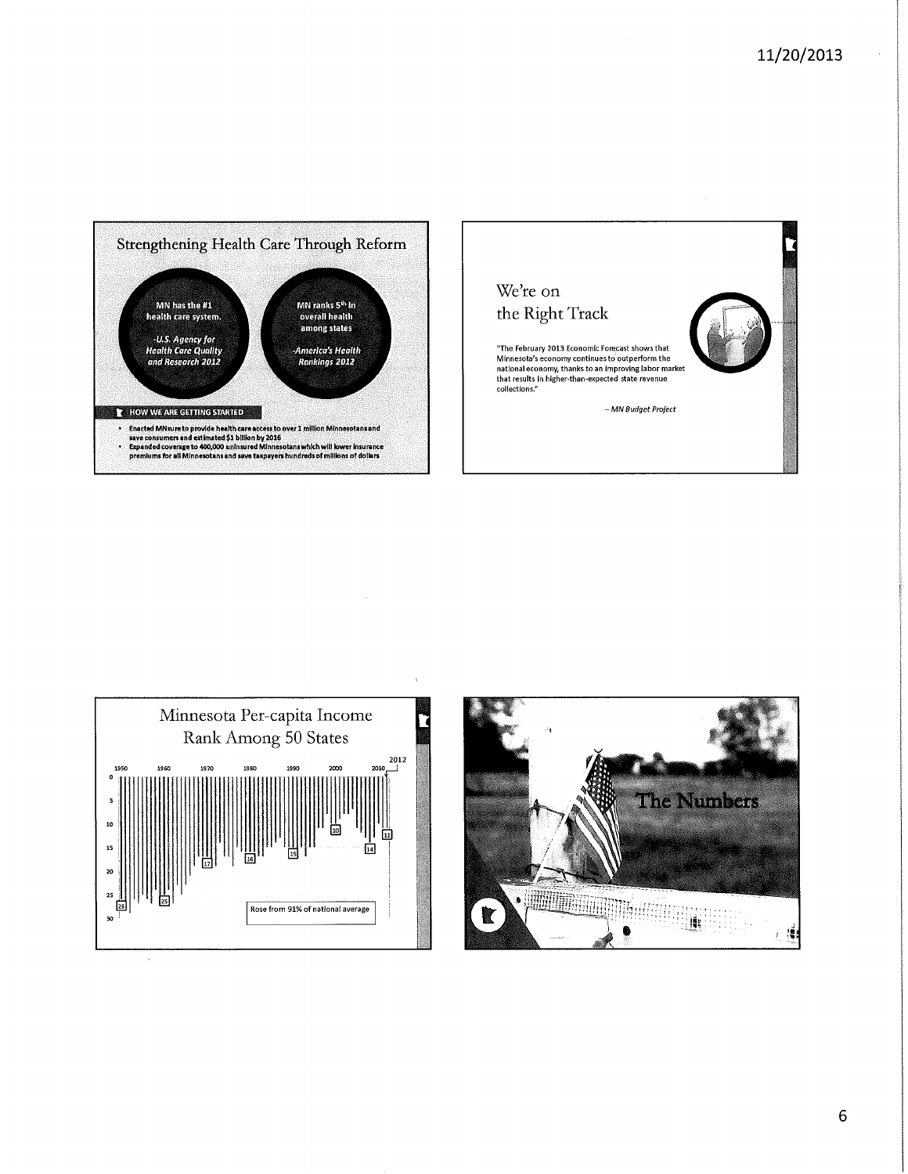





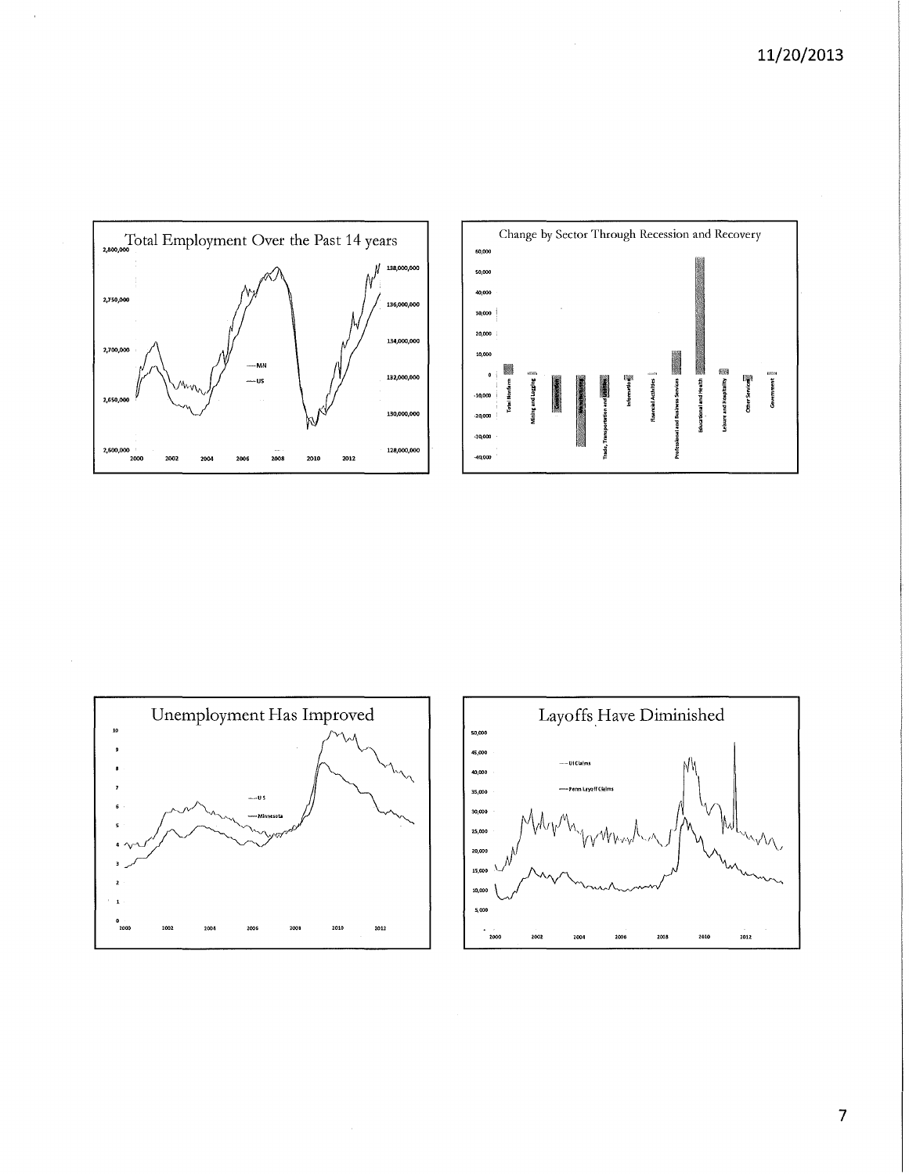





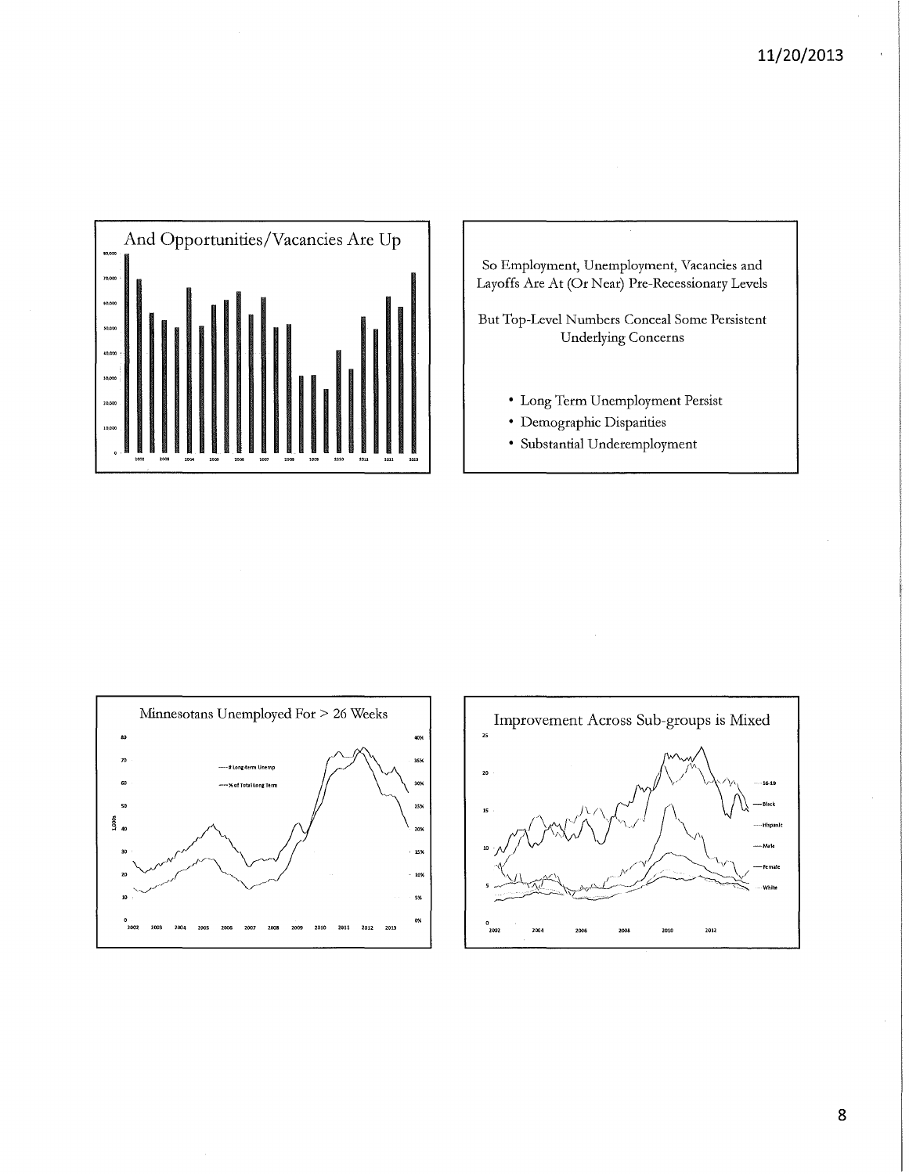





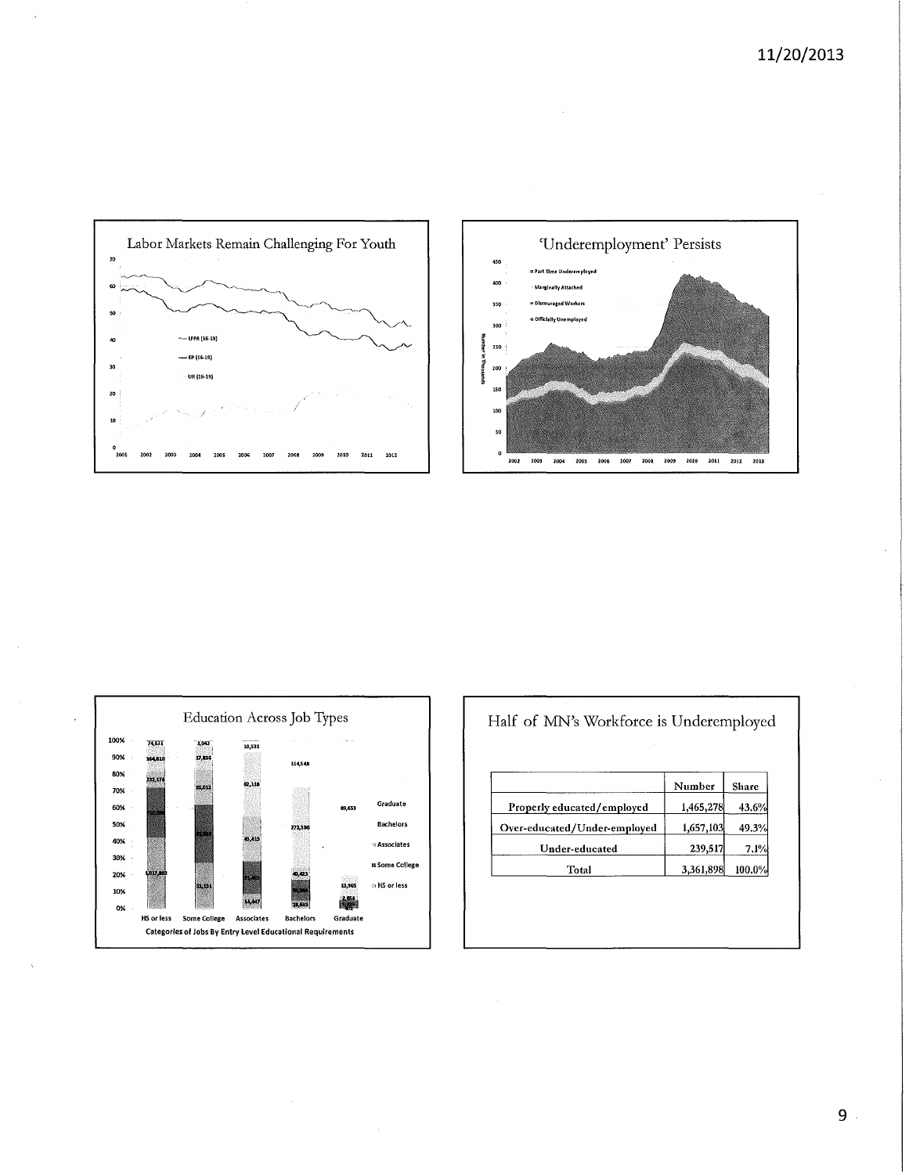





| Half of MN's Workforce is Underemployed |
|-----------------------------------------|
|-----------------------------------------|

|                              | Number    | Share  |
|------------------------------|-----------|--------|
| Properly educated/employed   | 1,465,278 | 43.6%  |
| Over-educated/Under-employed | 1,657,103 | 49.3%  |
| Under-educated               | 239,517   | 7.1%   |
| Total                        | 3,361,898 | 100.0% |